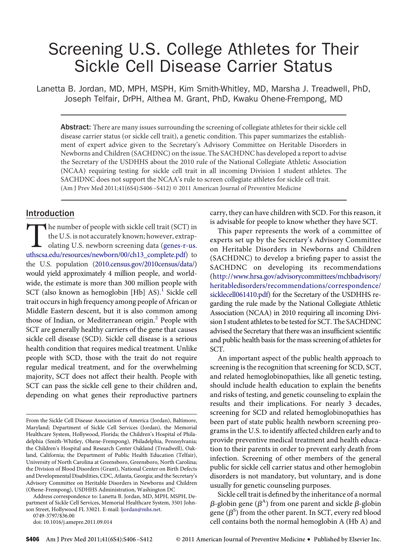# Screening U.S. College Athletes for Their Sickle Cell Disease Carrier Status

Lanetta B. Jordan, MD, MPH, MSPH, Kim Smith-Whitley, MD, Marsha J. Treadwell, PhD, Joseph Telfair, DrPH, Althea M. Grant, PhD, Kwaku Ohene-Frempong, MD

Abstract: There are many issues surrounding the screening of collegiate athletes for their sickle cell disease carrier status (or sickle cell trait), a genetic condition. This paper summarizes the establishment of expert advice given to the Secretary's Advisory Committee on Heritable Disorders in Newborns and Children (SACHDNC) on the issue. The SACHDNC has developed a report to advise the Secretary of the USDHHS about the 2010 rule of the National Collegiate Athletic Association (NCAA) requiring testing for sickle cell trait in all incoming Division I student athletes. The SACHDNC does not support the NCAA's rule to screen collegiate athletes for sickle cell trait. (Am J Prev Med 2011;41(6S4):S406 –S412) © 2011 American Journal of Preventive Medicine

# Introduction

The number of people with sickle cell trait (SCT) in the U.S. is not accurately known; however, extrapolating U.S. newborn screening data (genes-r-us. [uthscsa.edu/resources/newborn/00/ch13\\_complete.pdf\)](http://genes-r-us.uthscsa.edu/resources/newborn/00/ch13_complete.pdf) to the U.S. population [\(2010.census.gov/2010census/data/\)](http://2010.census.gov/2010census/data/) would yield approximately 4 million people, and worldwide, the estimate is more than 300 million people with SCT (also known as hemoglobin [Hb]  $AS$ ).<sup>[1](#page-5-0)</sup> Sickle cell trait occurs in high frequency among people of African or Middle Eastern descent, but it is also common among those of Indian, or Mediterranean origin.<sup>[2](#page-5-1)</sup> People with SCT are generally healthy carriers of the gene that causes sickle cell disease (SCD). Sickle cell disease is a serious health condition that requires medical treatment. Unlike people with SCD, those with the trait do not require regular medical treatment, and for the overwhelming majority, SCT does not affect their health. People with SCT can pass the sickle cell gene to their children and, depending on what genes their reproductive partners

0749-3797/\$36.00

carry, they can have children with SCD. For this reason, it is advisable for people to know whether they have SCT.

This paper represents the work of a committee of experts set up by the Secretary's Advisory Committee on Heritable Disorders in Newborns and Children (SACHDNC) to develop a briefıng paper to assist the SACHDNC on developing its recommendations [\(http://www.hrsa.gov/advisorycommittees/mchbadvisory/](http://www.hrsa.gov/advisorycommittees/mchbadvisory/heritabledisorders/recommendations/correspondence/sicklecell061410.pdf) [heritabledisorders/recommendations/correspondence/](http://www.hrsa.gov/advisorycommittees/mchbadvisory/heritabledisorders/recommendations/correspondence/sicklecell061410.pdf) [sicklecell061410.pdf\)](http://www.hrsa.gov/advisorycommittees/mchbadvisory/heritabledisorders/recommendations/correspondence/sicklecell061410.pdf) for the Secretary of the USDHHS regarding the rule made by the National Collegiate Athletic Association (NCAA) in 2010 requiring all incoming Division I student athletes to be tested for SCT. The SACHDNC advised the Secretary that there was an insuffıcient scientifıc and public health basis for the mass screening of athletes for SCT.

An important aspect of the public health approach to screening is the recognition that screening for SCD, SCT, and related hemoglobinopathies, like all genetic testing, should include health education to explain the benefıts and risks of testing, and genetic counseling to explain the results and their implications. For nearly 3 decades, screening for SCD and related hemoglobinopathies has been part of state public health newborn screening programs in the U.S. to identify affected children early and to provide preventive medical treatment and health education to their parents in order to prevent early death from infection. Screening of other members of the general public for sickle cell carrier status and other hemoglobin disorders is not mandatory, but voluntary, and is done usually for genetic counseling purposes.

Sickle cell trait is defıned by the inheritance of a normal  $\beta$ -globin gene ( $\beta^A$ ) from one parent and sickle  $\beta$ -globin gene  $(\beta^{\text{S}})$  from the other parent. In SCT, every red blood cell contains both the normal hemoglobin A (Hb A) and

From the Sickle Cell Disease Association of America (Jordan), Baltimore, Maryland; Department of Sickle Cell Services (Jordan), the Memorial Healthcare System, Hollywood, Florida; the Children's Hospital of Philadelphia (Smith-Whitley, Ohene-Frempong), Philadelphia, Pennsylvania; the Children's Hospital and Research Center Oakland (Treadwell), Oakland, California; the Department of Public Health Education (Telfair), University of North Carolina at Greensboro, Greensboro, North Carolina; the Division of Blood Disorders (Grant), National Center on Birth Defects and Developmental Disabilities, CDC, Atlanta, Georgia; and the Secretary's Advisory Committee on Heritable Disorders in Newborns and Children (Ohene-Frempong), USDHHS Administration, Washington DC

Address correspondence to: Lanetta B. Jordan, MD, MPH, MSPH, Department of Sickle Cell Services, Memorial Healthcare System, 3501 Johnson Street, Hollywood FL 33021. E-mail: [ljordan@mhs.net.](mailto:ljordan@mhs.net)

doi: 10.1016/j.amepre.2011.09.014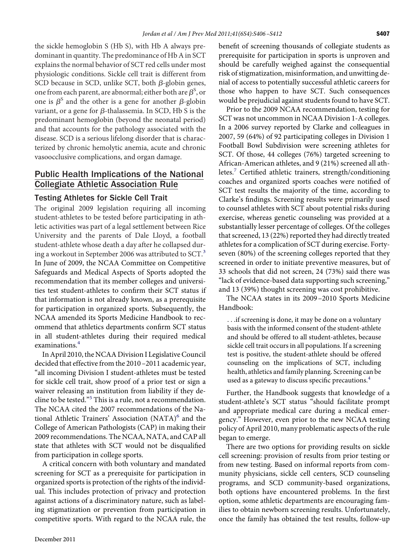the sickle hemoglobin S (Hb S), with Hb A always predominant in quantity. The predominance of Hb A in SCT explains the normal behavior of SCT red cells under most physiologic conditions. Sickle cell trait is different from SCD because in SCD, unlike SCT, both  $\beta$ -globin genes, one from each parent, are abnormal; either both are  $\boldsymbol{\beta}^\text{S}$ , or one is  $\beta^s$  and the other is a gene for another  $\beta$ -globin variant, or a gene for  $\beta$ -thalassemia. In SCD, Hb S is the predominant hemoglobin (beyond the neonatal period) and that accounts for the pathology associated with the disease. SCD is a serious lifelong disorder that is characterized by chronic hemolytic anemia, acute and chronic vasoocclusive complications, and organ damage.

# Public Health Implications of the National Collegiate Athletic Association Rule

## Testing Athletes for Sickle Cell Trait

The original 2009 legislation requiring all incoming student-athletes to be tested before participating in athletic activities was part of a legal settlement between Rice University and the parents of Dale Lloyd, a football student-athlete whose death a day after he collapsed dur-ing a workout in September 2006 was attributed to SCT.<sup>[3](#page-5-2)</sup> In June of 2009, the NCAA Committee on Competitive Safeguards and Medical Aspects of Sports adopted the recommendation that its member colleges and universities test student-athletes to confırm their SCT status if that information is not already known, as a prerequisite for participation in organized sports. Subsequently, the NCAA amended its Sports Medicine Handbook to recommend that athletics departments confırm SCT status in all student-athletes during their required medical examinations.<sup>[4](#page-5-3)</sup>

In April 2010, the NCAA Division I Legislative Council decided that effective from the 2010 –2011 academic year, "all incoming Division I student-athletes must be tested for sickle cell trait, show proof of a prior test or sign a waiver releasing an institution from liability if they decline to be tested.["5](#page-5-4) This is a rule, not a recommendation. The NCAA cited the 2007 recommendations of the Na-tional Athletic Trainers' Association (NATA)<sup>[6](#page-5-5)</sup> and the College of American Pathologists (CAP) in making their 2009 recommendations. The NCAA, NATA, and CAP all state that athletes with SCT would not be disqualifıed from participation in college sports.

A critical concern with both voluntary and mandated screening for SCT as a prerequisite for participation in organized sports is protection of the rights of the individual. This includes protection of privacy and protection against actions of a discriminatory nature, such as labeling stigmatization or prevention from participation in competitive sports. With regard to the NCAA rule, the benefıt of screening thousands of collegiate students as prerequisite for participation in sports is unproven and should be carefully weighed against the consequential risk of stigmatization, misinformation, and unwitting denial of access to potentially successful athletic careers for those who happen to have SCT. Such consequences would be prejudicial against students found to have SCT.

Prior to the 2009 NCAA recommendation, testing for SCT was not uncommon in NCAA Division 1-A colleges. In a 2006 survey reported by Clarke and colleagues in 2007, 59 (64%) of 92 participating colleges in Division 1 Football Bowl Subdivision were screening athletes for SCT. Of those, 44 colleges (76%) targeted screening to African-American athletes, and 9 (21%) screened all athletes.[7](#page-5-6) Certifıed athletic trainers, strength/conditioning coaches and organized sports coaches were notifıed of SCT test results the majority of the time, according to Clarke's fındings. Screening results were primarily used to counsel athletes with SCT about potential risks during exercise, whereas genetic counseling was provided at a substantially lesser percentage of colleges. Of the colleges that screened, 13 (22%) reported they had directly treated athletes for a complication of SCT during exercise. Fortyseven (80%) of the screening colleges reported that they screened in order to initiate preventive measures, but of 33 schools that did not screen, 24 (73%) said there was "lack of evidence-based data supporting such screening," and 13 (39%) thought screening was cost prohibitive.

The NCAA states in its 2009 –2010 Sports Medicine Handbook:

. . .if screening is done, it may be done on a voluntary basis with the informed consent of the student-athlete and should be offered to all student-athletes, because sickle cell trait occurs in all populations. If a screening test is positive, the student-athlete should be offered counseling on the implications of SCT, including health, athletics and family planning. Screening can be used as a gateway to discuss specific precautions.<sup>[4](#page-5-3)</sup>

Further, the Handbook suggests that knowledge of a student-athlete's SCT status "should facilitate prompt and appropriate medical care during a medical emergency." However, even prior to the new NCAA testing policy of April 2010, many problematic aspects of the rule began to emerge.

There are two options for providing results on sickle cell screening: provision of results from prior testing or from new testing. Based on informal reports from community physicians, sickle cell centers, SCD counseling programs, and SCD community-based organizations, both options have encountered problems. In the fırst option, some athletic departments are encouraging families to obtain newborn screening results. Unfortunately, once the family has obtained the test results, follow-up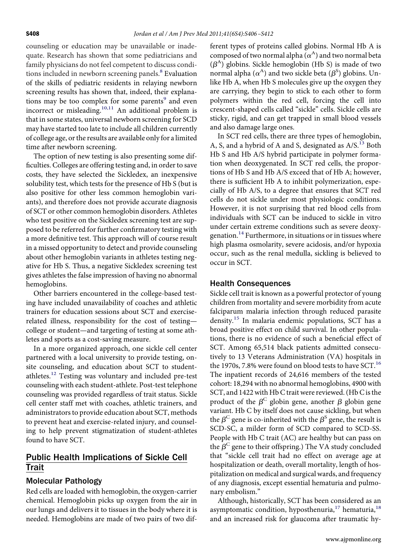counseling or education may be unavailable or inadequate. Research has shown that some pediatricians and family physicians do not feel competent to discuss conditions included in newborn screening panels.<sup>8</sup> Evaluation of the skills of pediatric residents in relaying newborn screening results has shown that, indeed, their explana-tions may be too complex for some parents<sup>[9](#page-5-8)</sup> and even incorrect or misleading. $10,11$  An additional problem is that in some states, universal newborn screening for SCD may have started too late to include all children currently of college age, or the results are available only for a limited time after newborn screening.

The option of new testing is also presenting some diffıculties. Colleges are offering testing and, in order to save costs, they have selected the Sickledex, an inexpensive solubility test, which tests for the presence of Hb S (but is also positive for other less common hemoglobin variants), and therefore does not provide accurate diagnosis of SCT or other common hemoglobin disorders. Athletes who test positive on the Sickledex screening test are supposed to be referred for further confırmatory testing with a more defınitive test. This approach will of course result in a missed opportunity to detect and provide counseling about other hemoglobin variants in athletes testing negative for Hb S. Thus, a negative Sickledex screening test gives athletes the false impression of having no abnormal hemoglobins.

Other barriers encountered in the college-based testing have included unavailability of coaches and athletic trainers for education sessions about SCT and exerciserelated illness, responsibility for the cost of testing college or student—and targeting of testing at some athletes and sports as a cost-saving measure.

In a more organized approach, one sickle cell center partnered with a local university to provide testing, onsite counseling, and education about SCT to student-athletes.<sup>[12](#page-5-10)</sup> Testing was voluntary and included pre-test counseling with each student-athlete. Post-test telephone counseling was provided regardless of trait status. Sickle cell center staff met with coaches, athletic trainers, and administrators to provide education about SCT, methods to prevent heat and exercise-related injury, and counseling to help prevent stigmatization of student-athletes found to have SCT.

# Public Health Implications of Sickle Cell Trait

#### Molecular Pathology

Red cells are loaded with hemoglobin, the oxygen-carrier chemical. Hemoglobin picks up oxygen from the air in our lungs and delivers it to tissues in the body where it is needed. Hemoglobins are made of two pairs of two different types of proteins called globins. Normal Hb A is composed of two normal alpha  $(\alpha^A)$  and two normal beta  $(\beta^{A})$  globins. Sickle hemoglobin (Hb S) is made of two normal alpha ( $\alpha^{A}$ ) and two sickle beta ( $\beta^{S}$ ) globins. Unlike Hb A, when Hb S molecules give up the oxygen they are carrying, they begin to stick to each other to form polymers within the red cell, forcing the cell into crescent-shaped cells called "sickle" cells. Sickle cells are sticky, rigid, and can get trapped in small blood vessels and also damage large ones.

In SCT red cells, there are three types of hemoglobin, A, S, and a hybrid of A and S, designated as A/S.<sup>[13](#page-5-11)</sup> Both Hb S and Hb A/S hybrid participate in polymer formation when deoxygenated. In SCT red cells, the proportions of Hb S and Hb A/S exceed that of Hb A; however, there is suffıcient Hb A to inhibit polymerization, especially of Hb A/S, to a degree that ensures that SCT red cells do not sickle under most physiologic conditions. However, it is not surprising that red blood cells from individuals with SCT can be induced to sickle in vitro under certain extreme conditions such as severe deoxygenation.<sup>14</sup> Furthermore, in situations or in tissues where high plasma osmolarity, severe acidosis, and/or hypoxia occur, such as the renal medulla, sickling is believed to occur in SCT.

#### Health Consequences

Sickle cell trait is known as a powerful protector of young children from mortality and severe morbidity from acute falciparum malaria infection through reduced parasite density.[15](#page-5-13) In malaria endemic populations, SCT has a broad positive effect on child survival. In other populations, there is no evidence of such a benefıcial effect of SCT. Among 65,514 black patients admitted consecutively to 13 Veterans Administration (VA) hospitals in the 1970s, 7.8% were found on blood tests to have SCT.<sup>[16](#page-6-0)</sup> The inpatient records of 24,616 members of the tested cohort: 18,294 with no abnormal hemoglobins, 4900 with SCT, and 1422 with Hb C trait were reviewed. (Hb C is the product of the  $\beta^C$  globin gene, another  $\beta$  globin gene variant. Hb C by itself does not cause sickling, but when the  $\beta^C$  gene is co-inherited with the  $\beta^S$  gene, the result is SCD-SC, a milder form of SCD compared to SCD-SS. People with Hb C trait (AC) are healthy but can pass on the  $\beta^C$  gene to their offspring.) The VA study concluded that "sickle cell trait had no effect on average age at hospitalization or death, overall mortality, length of hospitalization on medical and surgical wards, and frequency of any diagnosis, except essential hematuria and pulmonary embolism."

Although, historically, SCT has been considered as an asymptomatic condition, hyposthenuria,<sup>[17](#page-6-1)</sup> hematuria,<sup>[18](#page-6-2)</sup> and an increased risk for glaucoma after traumatic hy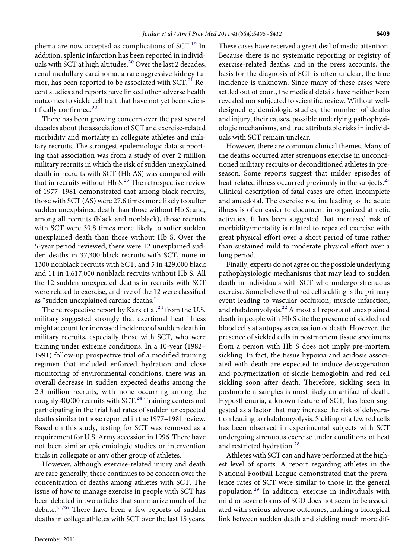phema are now accepted as complications of SCT.<sup>[19](#page-6-3)</sup> In addition, splenic infarction has been reported in individ-uals with SCT at high altitudes.<sup>[20](#page-6-4)</sup> Over the last 2 decades, renal medullary carcinoma, a rare aggressive kidney tumor, has been reported to be associated with  $SCT<sup>21</sup>$  $SCT<sup>21</sup>$  $SCT<sup>21</sup>$  Recent studies and reports have linked other adverse health outcomes to sickle cell trait that have not yet been scientifically confirmed. $^{22}$  $^{22}$  $^{22}$ 

There has been growing concern over the past several decades about the association of SCT and exercise-related morbidity and mortality in collegiate athletes and military recruits. The strongest epidemiologic data supporting that association was from a study of over 2 million military recruits in which the risk of sudden unexplained death in recruits with SCT (Hb AS) was compared with that in recruits without Hb  $S<sup>23</sup>$  The retrospective review of 1977–1981 demonstrated that among black recruits, those with SCT (AS) were 27.6 times more likely to suffer sudden unexplained death than those without Hb S; and, among all recruits (black and nonblack), those recruits with SCT were 39.8 times more likely to suffer sudden unexplained death than those without Hb S. Over the 5-year period reviewed, there were 12 unexplained sudden deaths in 37,300 black recruits with SCT, none in 1300 nonblack recruits with SCT, and 5 in 429,000 black and 11 in 1,617,000 nonblack recruits without Hb S. All the 12 sudden unexpected deaths in recruits with SCT were related to exercise, and fıve of the 12 were classifıed as "sudden unexplained cardiac deaths."

The retrospective report by Kark et al. $^{24}$  from the U.S. military suggested strongly that exertional heat illness might account for increased incidence of sudden death in military recruits, especially those with SCT, who were training under extreme conditions. In a 10-year (1982– 1991) follow-up prospective trial of a modifıed training regimen that included enforced hydration and close monitoring of environmental conditions, there was an overall decrease in sudden expected deaths among the 2.3 million recruits, with none occurring among the roughly 40,000 recruits with SCT.<sup>24</sup> Training centers not participating in the trial had rates of sudden unexpected deaths similar to those reported in the 1977–1981 review. Based on this study, testing for SCT was removed as a requirement for U.S. Army accession in 1996. There have not been similar epidemiologic studies or intervention trials in collegiate or any other group of athletes.

However, although exercise-related injury and death are rare generally, there continues to be concern over the concentration of deaths among athletes with SCT. The issue of how to manage exercise in people with SCT has been debated in two articles that summarize much of the debate.<sup>[25,26](#page-6-9)</sup> There have been a few reports of sudden deaths in college athletes with SCT over the last 15 years.

These cases have received a great deal of media attention. Because there is no systematic reporting or registry of exercise-related deaths, and in the press accounts, the basis for the diagnosis of SCT is often unclear, the true incidence is unknown. Since many of these cases were settled out of court, the medical details have neither been revealed nor subjected to scientifıc review. Without welldesigned epidemiologic studies, the number of deaths and injury, their causes, possible underlying pathophysiologic mechanisms, and true attributable risks in individuals with SCT remain unclear.

However, there are common clinical themes. Many of the deaths occurred after strenuous exercise in unconditioned military recruits or deconditioned athletes in preseason. Some reports suggest that milder episodes of heat-related illness occurred previously in the subjects.<sup>[27](#page-6-10)</sup> Clinical description of fatal cases are often incomplete and anecdotal. The exercise routine leading to the acute illness is often easier to document in organized athletic activities. It has been suggested that increased risk of morbidity/mortality is related to repeated exercise with great physical effort over a short period of time rather than sustained mild to moderate physical effort over a long period.

Finally, experts do not agree on the possible underlying pathophysiologic mechanisms that may lead to sudden death in individuals with SCT who undergo strenuous exercise. Some believe that red cell sickling is the primary event leading to vascular occlusion, muscle infarction, and rhabdomyolysis.<sup>[22](#page-6-6)</sup> Almost all reports of unexplained death in people with Hb S cite the presence of sickled red blood cells at autopsy as causation of death. However, the presence of sickled cells in postmortem tissue specimens from a person with Hb S does not imply pre-mortem sickling. In fact, the tissue hypoxia and acidosis associated with death are expected to induce deoxygenation and polymerization of sickle hemoglobin and red cell sickling soon after death. Therefore, sickling seen in postmortem samples is most likely an artifact of death. Hyposthenuria, a known feature of SCT, has been suggested as a factor that may increase the risk of dehydration leading to rhabdomyolysis. Sickling of a few red cells has been observed in experimental subjects with SCT undergoing strenuous exercise under conditions of heat and restricted hydration.<sup>[28](#page-6-11)</sup>

Athletes with SCT can and have performed at the highest level of sports. A report regarding athletes in the National Football League demonstrated that the prevalence rates of SCT were similar to those in the general population.[29](#page-6-12) In addition, exercise in individuals with mild or severe forms of SCD does not seem to be associated with serious adverse outcomes, making a biological link between sudden death and sickling much more dif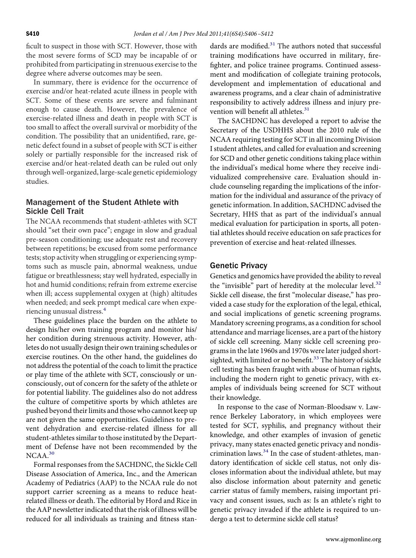fıcult to suspect in those with SCT. However, those with the most severe forms of SCD may be incapable of or prohibited from participating in strenuous exercise to the degree where adverse outcomes may be seen.

In summary, there is evidence for the occurrence of exercise and/or heat-related acute illness in people with SCT. Some of these events are severe and fulminant enough to cause death. However, the prevalence of exercise-related illness and death in people with SCT is too small to affect the overall survival or morbidity of the condition. The possibility that an unidentifıed, rare, genetic defect found in a subset of people with SCT is either solely or partially responsible for the increased risk of exercise and/or heat-related death can be ruled out only through well-organized, large-scale genetic epidemiology studies.

# Management of the Student Athlete with Sickle Cell Trait

The NCAA recommends that student-athletes with SCT should "set their own pace"; engage in slow and gradual pre-season conditioning; use adequate rest and recovery between repetitions; be excused from some performance tests; stop activity when struggling or experiencing symptoms such as muscle pain, abnormal weakness, undue fatigue or breathlessness; stay well hydrated, especially in hot and humid conditions; refrain from extreme exercise when ill; access supplemental oxygen at (high) altitudes when needed; and seek prompt medical care when experiencing unusual distress.[4](#page-5-3)

These guidelines place the burden on the athlete to design his/her own training program and monitor his/ her condition during strenuous activity. However, athletes do not usually design their own training schedules or exercise routines. On the other hand, the guidelines do not address the potential of the coach to limit the practice or play time of the athlete with SCT, consciously or unconsciously, out of concern for the safety of the athlete or for potential liability. The guidelines also do not address the culture of competitive sports by which athletes are pushed beyond their limits and those who cannot keep up are not given the same opportunities. Guidelines to prevent dehydration and exercise-related illness for all student-athletes similar to those instituted by the Department of Defense have not been recommended by the  $NCAA.<sup>30</sup>$  $NCAA.<sup>30</sup>$  $NCAA.<sup>30</sup>$ 

Formal responses from the SACHDNC, the Sickle Cell Disease Association of America, Inc., and the American Academy of Pediatrics (AAP) to the NCAA rule do not support carrier screening as a means to reduce heatrelated illness or death. The editorial by Hord and Rice in the AAP newsletter indicated that the risk of illness will be reduced for all individuals as training and fıtness standards are modified.<sup>[31](#page-6-14)</sup> The authors noted that successful training modifıcations have occurred in military, fırefighter, and police trainee programs. Continued assessment and modifıcation of collegiate training protocols, development and implementation of educational and awareness programs, and a clear chain of administrative responsibility to actively address illness and injury pre-vention will benefit all athletes.<sup>[31](#page-6-14)</sup>

The SACHDNC has developed a report to advise the Secretary of the USDHHS about the 2010 rule of the NCAA requiring testing for SCT in all incoming Division I student athletes, and called for evaluation and screening for SCD and other genetic conditions taking place within the individual's medical home where they receive individualized comprehensive care. Evaluation should include counseling regarding the implications of the information for the individual and assurance of the privacy of genetic information. In addition, SACHDNC advised the Secretary, HHS that as part of the individual's annual medical evaluation for participation in sports, all potential athletes should receive education on safe practices for prevention of exercise and heat-related illnesses.

#### Genetic Privacy

Genetics and genomics have provided the ability to reveal the "invisible" part of heredity at the molecular level.<sup>[32](#page-6-15)</sup> Sickle cell disease, the fırst "molecular disease," has provided a case study for the exploration of the legal, ethical, and social implications of genetic screening programs. Mandatory screening programs, as a condition for school attendance and marriage licenses, are a part of the history of sickle cell screening. Many sickle cell screening programs in the late 1960s and 1970s were later judged short-sighted, with limited or no benefit.<sup>[33](#page-6-16)</sup> The history of sickle cell testing has been fraught with abuse of human rights, including the modern right to genetic privacy, with examples of individuals being screened for SCT without their knowledge.

In response to the case of Norman-Bloodsaw v. Lawrence Berkeley Laboratory, in which employees were tested for SCT, syphilis, and pregnancy without their knowledge, and other examples of invasion of genetic privacy, many states enacted genetic privacy and nondiscrimination laws[.34](#page-6-17) In the case of student-athletes, mandatory identifıcation of sickle cell status, not only discloses information about the individual athlete, but may also disclose information about paternity and genetic carrier status of family members, raising important privacy and consent issues, such as: Is an athlete's right to genetic privacy invaded if the athlete is required to undergo a test to determine sickle cell status?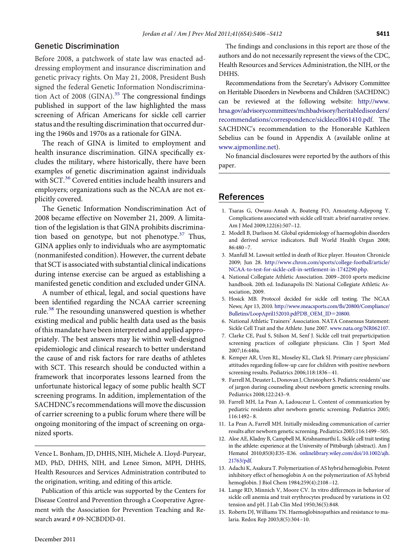#### Genetic Discrimination

Before 2008, a patchwork of state law was enacted addressing employment and insurance discrimination and genetic privacy rights. On May 21, 2008, President Bush signed the federal Genetic Information Nondiscrimination Act of 2008 (GINA). $35$  The congressional findings published in support of the law highlighted the mass screening of African Americans for sickle cell carrier status and the resulting discrimination that occurred during the 1960s and 1970s as a rationale for GINA.

The reach of GINA is limited to employment and health insurance discrimination. GINA specifıcally excludes the military, where historically, there have been examples of genetic discrimination against individuals with SCT.<sup>[36](#page-6-19)</sup> Covered entities include health insurers and employers; organizations such as the NCAA are not explicitly covered.

The Genetic Information Nondiscrimination Act of 2008 became effective on November 21, 2009. A limitation of the legislation is that GINA prohibits discrimination based on genotype, but not phenotype. $37$  Thus, GINA applies only to individuals who are asymptomatic (nonmanifested condition). However, the current debate that SCT is associated with substantial clinical indications during intense exercise can be argued as establishing a manifested genetic condition and excluded under GINA.

A number of ethical, legal, and social questions have been identifıed regarding the NCAA carrier screening rule.<sup>[38](#page-6-21)</sup> The resounding unanswered question is whether existing medical and public health data used as the basis of this mandate have been interpreted and applied appropriately. The best answers may lie within well-designed epidemiologic and clinical research to better understand the cause of and risk factors for rare deaths of athletes with SCT. This research should be conducted within a framework that incorporates lessons learned from the unfortunate historical legacy of some public health SCT screening programs. In addition, implementation of the SACHDNC's recommendations will move the discussion of carrier screening to a public forum where there will be ongoing monitoring of the impact of screening on organized sports.

Vence L. Bonham, JD, DHHS, NIH, Michele A. Lloyd-Puryear, MD, PhD, DHHS, NIH, and Lenee Simon, MPH, DHHS, Health Resources and Services Administration contributed to the origination, writing, and editing of this article.

Publication of this article was supported by the Centers for Disease Control and Prevention through a Cooperative Agreement with the Association for Prevention Teaching and Research award # 09-NCBDDD-01.

The fındings and conclusions in this report are those of the authors and do not necessarily represent the views of the CDC, Health Resources and Services Administration, the NIH, or the DHHS.

Recommendations from the Secretary's Advisory Committee on Heritable Disorders in Newborns and Children (SACHDNC) can be reviewed at the following website: [http://www.](http://www.hrsa.gov/advisorycommittees/mchbadvisory/heritabledisorders/recommendations/correspondence/sicklecell061410.pdf) [hrsa.gov/advisorycommittees/mchbadvisory/heritabledisorders/](http://www.hrsa.gov/advisorycommittees/mchbadvisory/heritabledisorders/recommendations/correspondence/sicklecell061410.pdf) [recommendations/correspondence/sicklecell061410.pdf.](http://www.hrsa.gov/advisorycommittees/mchbadvisory/heritabledisorders/recommendations/correspondence/sicklecell061410.pdf) The SACHDNC's recommendation to the Honorable Kathleen Sebelius can be found in Appendix A (available online at [www.ajpmonline.net\)](http://www.ajpmonline.net).

No fınancial disclosures were reported by the authors of this paper.

## <span id="page-5-0"></span>References

- 1. Tsaras G, Owusu-Ansah A, Boateng FO, Amoateng-Adjepong Y. Complications associated with sickle cell trait: a brief narrative review. Am J Med 2009;122(6):507–12.
- <span id="page-5-1"></span>2. Modell B, Darlison M. Global epidemiology of haemoglobin disorders and derived service indicators. Bull World Health Organ 2008;  $86.480 - 7$
- <span id="page-5-2"></span>3. Manfull M. Lawsuit settled in death of Rice player. Houston Chronicle 2009; Jun 28. [http://www.chron.com/sports/college-football/article/](http://www.chron.com/sports/college-football/article/NCAA-to-test-for-sickle-cell-in-settlement-in-1742290.php) [NCAA-to-test-for-sickle-cell-in-settlement-in-1742290.php.](http://www.chron.com/sports/college-football/article/NCAA-to-test-for-sickle-cell-in-settlement-in-1742290.php)
- <span id="page-5-3"></span>4. National Collegiate Athletic Association. 2009 –2010 sports medicine handbook. 20th ed. Indianapolis IN: National Collegiate Athletic Association, 2009.
- <span id="page-5-4"></span>5. Hosick MB. Protocol decided for sickle cell testing. The NCAA News; Apr 13, 2010. [http://www.meacsports.com/fls/20800/Compliance/](http://www.meacsports.com/fls/20800/Compliance/Bulletins/LoopApril152010.pdf?DB_OEM_ID=20800) [Bulletins/LoopApril152010.pdf?DB\\_OEM\\_ID](http://www.meacsports.com/fls/20800/Compliance/Bulletins/LoopApril152010.pdf?DB_OEM_ID=20800)=20800.
- <span id="page-5-6"></span><span id="page-5-5"></span>6. National Athletic Trainers' Association. NATA Consensus Statement: Sickle Cell Trait and the Athlete. June 2007. [www.nata.org/NR062107.](http://www.nata.org/NR062107)
- 7. Clarke CE, Paul S, Stilson M, Senf J. Sickle cell trait preparticipation screening practices of collegiate physicians. Clin J Sport Med 2007;16:440a.
- <span id="page-5-7"></span>8. Kemper AR, Uren RL, Moseley KL, Clark SJ. Primary care physicians' attitudes regarding follow-up care for children with positive newborn screening results. Pediatrics 2006;118:1836 – 41.
- <span id="page-5-8"></span>9. Farrell M, Deuster L, Donovan J, Christopher S. Pediatric residents' use of jargon during counseling about newborn genetic screening results. Pediatrics 2008;122:243–9.
- <span id="page-5-9"></span>10. Farrell MH, La Pean A, Ladouceur L. Content of communication by pediatric residents after newborn genetic screening. Pediatrics 2005; 116:1492– 8.
- <span id="page-5-10"></span>11. La Pean A, Farrell MH. Initially misleading communication of carrier results after newborn genetic screening. Pediatrics 2005;116:1499 –505.
- 12. Aloe AE, Kladny B, Campbell M, Krishnamurthi L. Sickle cell trait testing in the athlete: experience at the University of Pittsburgh (abstract). Am J Hematol 2010;85(8):E35–E36. [onlinelibrary.wiley.com/doi/10.1002/ajh.](http://onlinelibrary.wiley.com/doi/10.1002/ajh.21763/pdf) [21763/pdf.](http://onlinelibrary.wiley.com/doi/10.1002/ajh.21763/pdf)
- <span id="page-5-12"></span><span id="page-5-11"></span>13. Adachi K, Asakura T. Polymerization of AS hybrid hemoglobin. Potent inhibitory effect of hemoglobin A on the polymerization of AS hybrid hemoglobin. J Biol Chem 1984;259(4):2108 –12.
- <span id="page-5-13"></span>14. Lange RD, Minnich V, Moore CV. In vitro differences in behavior of sickle cell anemia and trait erythrocytes produced by variations in O2 tension and pH. J Lab Clin Med 1950;36(5):848.
- 15. Roberts DJ, Williams TN. Haemoglobinopathies and resistance to malaria. Redox Rep 2003;8(5):304 –10.